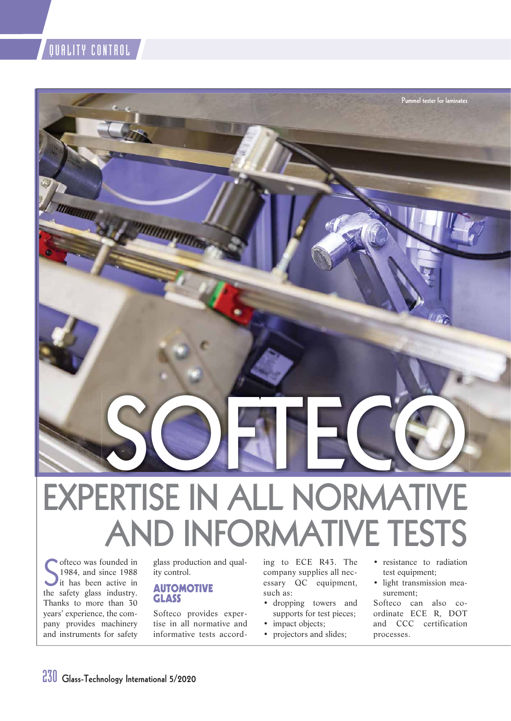## QUALITY CONTROL



# **EXPERTISE IN ALL NORMATIVE AND INFORMATIVE TESTS**

Softeco was founded in<br>
1984, and since 1988<br>
it has been active in<br>
the safety glass industry. ofteco was founded in 1984, and since 1988 it has been active in Thanks to more than 30 years' experience, the company provides machinery and instruments for safety

glass production and quality control.

#### **AUTOMOTIVE GLASS**

Softeco provides expertise in all normative and informative tests according to ECE R43. The company supplies all necessary QC equipment, such as:

- dropping towers and supports for test pieces;
- impact objects;
- projectors and slides;
- resistance to radiation test equipment;
- light transmission measurement;

Softeco can also coordinate ECE R, DOT and CCC certification processes.